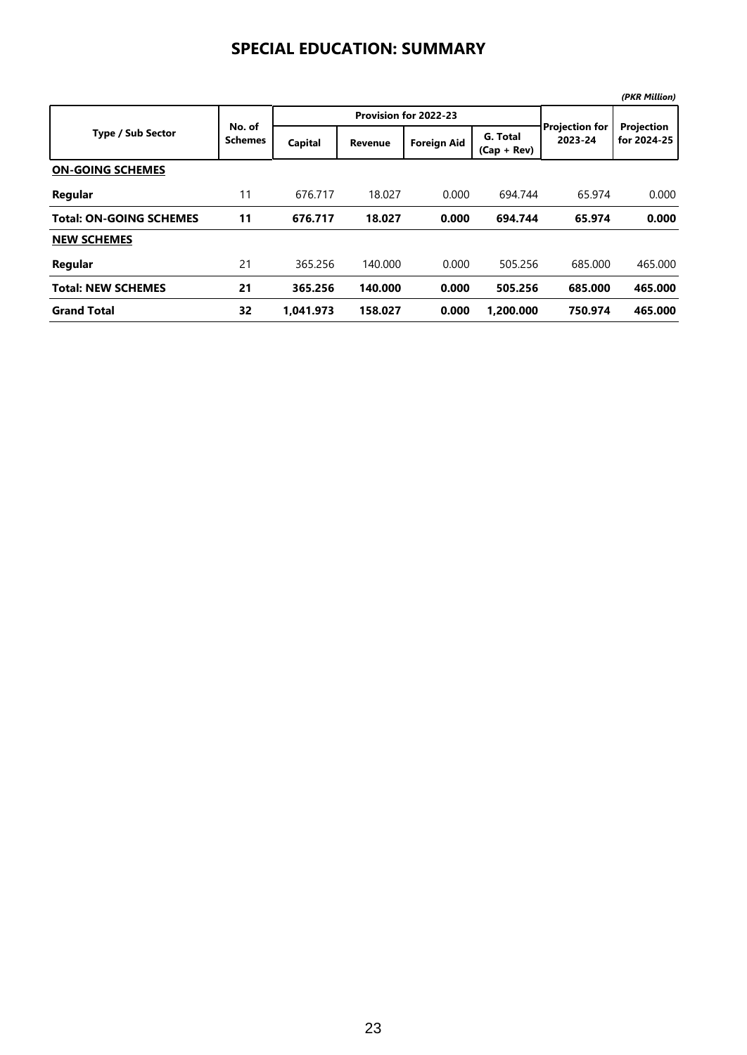## **SPECIAL EDUCATION: SUMMARY**

|                                |                          |           |                       |                    |                           |                                  | (PKR Million)             |
|--------------------------------|--------------------------|-----------|-----------------------|--------------------|---------------------------|----------------------------------|---------------------------|
|                                |                          |           | Provision for 2022-23 |                    |                           |                                  |                           |
| <b>Type / Sub Sector</b>       | No. of<br><b>Schemes</b> | Capital   | <b>Revenue</b>        | <b>Foreign Aid</b> | G. Total<br>$(Cap + Rev)$ | <b>Projection for</b><br>2023-24 | Projection<br>for 2024-25 |
| <b>ON-GOING SCHEMES</b>        |                          |           |                       |                    |                           |                                  |                           |
| Regular                        | 11                       | 676.717   | 18.027                | 0.000              | 694.744                   | 65.974                           | 0.000                     |
| <b>Total: ON-GOING SCHEMES</b> | 11                       | 676.717   | 18.027                | 0.000              | 694.744                   | 65.974                           | 0.000                     |
| <b>NEW SCHEMES</b>             |                          |           |                       |                    |                           |                                  |                           |
| Regular                        | 21                       | 365.256   | 140.000               | 0.000              | 505.256                   | 685.000                          | 465.000                   |
| <b>Total: NEW SCHEMES</b>      | 21                       | 365.256   | 140.000               | 0.000              | 505.256                   | 685.000                          | 465.000                   |
| <b>Grand Total</b>             | 32                       | 1.041.973 | 158.027               | 0.000              | 1.200.000                 | 750.974                          | 465.000                   |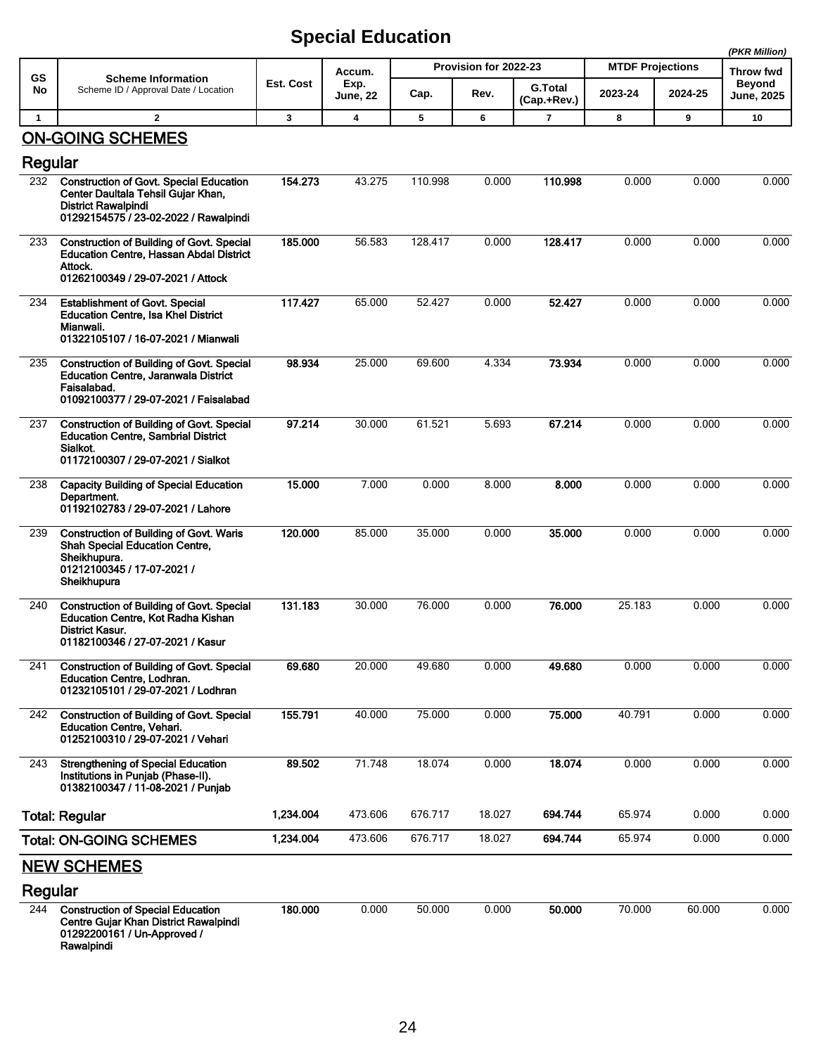## **Special Education**

|                |                                                                                                                                                         |           |                  |         |                       |                               |                         |         | (PKR Million)               |
|----------------|---------------------------------------------------------------------------------------------------------------------------------------------------------|-----------|------------------|---------|-----------------------|-------------------------------|-------------------------|---------|-----------------------------|
| <b>GS</b>      | <b>Scheme Information</b>                                                                                                                               |           | Accum.           |         | Provision for 2022-23 |                               | <b>MTDF Projections</b> |         | Throw fwd                   |
| No             | Scheme ID / Approval Date / Location                                                                                                                    | Est. Cost | Exp.<br>June, 22 | Cap.    | Rev.                  | <b>G.Total</b><br>(Cap.+Rev.) | 2023-24                 | 2024-25 | Beyond<br><b>June, 2025</b> |
| $\mathbf{1}$   | $\mathbf{2}$                                                                                                                                            | 3         | $\boldsymbol{4}$ | 5       | 6                     | $\overline{7}$                | 8                       | 9       | 10                          |
| Regular        | <b>ON-GOING SCHEMES</b>                                                                                                                                 |           |                  |         |                       |                               |                         |         |                             |
| 232            | <b>Construction of Govt. Special Education</b>                                                                                                          | 154.273   | 43.275           | 110.998 | 0.000                 | 110.998                       | 0.000                   | 0.000   | 0.000                       |
|                | Center Daultala Tehsil Guiar Khan,<br><b>District Rawalpindi</b><br>01292154575 / 23-02-2022 / Rawalpindi                                               |           |                  |         |                       |                               |                         |         |                             |
| 233            | <b>Construction of Building of Govt. Special</b><br><b>Education Centre, Hassan Abdal District</b><br>Attock.<br>01262100349 / 29-07-2021 / Attock      | 185.000   | 56.583           | 128.417 | 0.000                 | 128.417                       | 0.000                   | 0.000   | 0.000                       |
| 234            | <b>Establishment of Govt. Special</b><br><b>Education Centre, Isa Khel District</b><br>Mianwali.<br>01322105107 / 16-07-2021 / Mianwali                 | 117.427   | 65.000           | 52.427  | 0.000                 | 52.427                        | 0.000                   | 0.000   | 0.000                       |
| 235            | <b>Construction of Building of Govt. Special</b><br><b>Education Centre, Jaranwala District</b><br>Faisalabad.<br>01092100377 / 29-07-2021 / Faisalabad | 98.934    | 25.000           | 69.600  | 4.334                 | 73.934                        | 0.000                   | 0.000   | 0.000                       |
| 237            | <b>Construction of Building of Govt. Special</b><br><b>Education Centre, Sambrial District</b><br>Sialkot.<br>01172100307 / 29-07-2021 / Sialkot        | 97.214    | 30.000           | 61.521  | 5.693                 | 67.214                        | 0.000                   | 0.000   | 0.000                       |
| 238            | <b>Capacity Building of Special Education</b><br>Department.<br>01192102783 / 29-07-2021 / Lahore                                                       | 15.000    | 7.000            | 0.000   | 8.000                 | 8.000                         | 0.000                   | 0.000   | 0.000                       |
| 239            | <b>Construction of Building of Govt. Waris</b><br><b>Shah Special Education Centre,</b><br>Sheikhupura.<br>01212100345 / 17-07-2021 /<br>Sheikhupura    | 120.000   | 85.000           | 35.000  | 0.000                 | 35.000                        | 0.000                   | 0.000   | 0.000                       |
| 240            | <b>Construction of Building of Govt. Special</b><br>Education Centre, Kot Radha Kishan<br>District Kasur.<br>01182100346 / 27-07-2021 / Kasur           | 131.183   | 30.000           | 76.000  | 0.000                 | 76.000                        | 25.183                  | 0.000   | 0.000                       |
| 241            | <b>Construction of Building of Govt. Special</b><br><b>Education Centre, Lodhran.</b><br>01232105101 / 29-07-2021 / Lodhran                             | 69.680    | 20.000           | 49.680  | 0.000                 | 49.680                        | 0.000                   | 0.000   | 0.000                       |
| 242            | <b>Construction of Building of Govt. Special</b><br><b>Education Centre, Vehari.</b><br>01252100310 / 29-07-2021 / Vehari                               | 155.791   | 40.000           | 75.000  | 0.000                 | 75.000                        | 40.791                  | 0.000   | 0.000                       |
| 243            | <b>Strengthening of Special Education</b><br>Institutions in Punjab (Phase-II).<br>01382100347 / 11-08-2021 / Punjab                                    | 89.502    | 71.748           | 18.074  | 0.000                 | 18.074                        | 0.000                   | 0.000   | 0.000                       |
|                | <b>Total: Regular</b>                                                                                                                                   | 1,234.004 | 473.606          | 676.717 | 18.027                | 694.744                       | 65.974                  | 0.000   | 0.000                       |
|                | <b>Total: ON-GOING SCHEMES</b>                                                                                                                          | 1,234.004 | 473.606          | 676.717 | 18.027                | 694.744                       | 65.974                  | 0.000   | 0.000                       |
|                | <b>NEW SCHEMES</b>                                                                                                                                      |           |                  |         |                       |                               |                         |         |                             |
| Regular<br>244 | <b>Construction of Special Education</b><br>Centre Gujar Khan District Rawalpindi<br>01292200161 / Un-Approved /<br>Rawalpindi                          | 180.000   | 0.000            | 50.000  | 0.000                 | 50.000                        | 70.000                  | 60.000  | 0.000                       |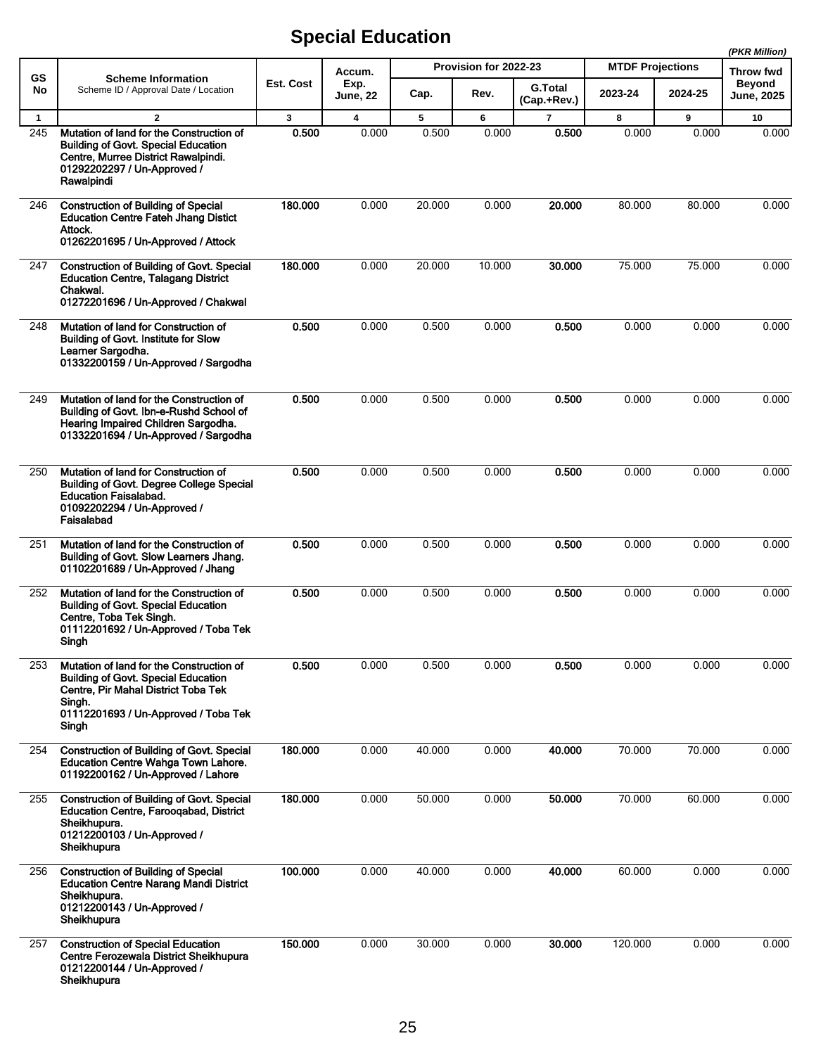## **Special Education**

|              |                                                                                                                                                                                          |                  |                            |                       |        |                               |                         |         | (PKR Million)                      |
|--------------|------------------------------------------------------------------------------------------------------------------------------------------------------------------------------------------|------------------|----------------------------|-----------------------|--------|-------------------------------|-------------------------|---------|------------------------------------|
| GS<br>No     | <b>Scheme Information</b><br>Scheme ID / Approval Date / Location                                                                                                                        |                  | Accum.<br>Exp.<br>June, 22 | Provision for 2022-23 |        |                               | <b>MTDF Projections</b> |         | <b>Throw fwd</b>                   |
|              |                                                                                                                                                                                          | <b>Est. Cost</b> |                            | Cap.                  | Rev.   | <b>G.Total</b><br>(Cap.+Rev.) | 2023-24                 | 2024-25 | <b>Beyond</b><br><b>June, 2025</b> |
| $\mathbf{1}$ | $\overline{2}$                                                                                                                                                                           | $\mathbf{3}$     | $\overline{\mathbf{4}}$    | 5                     | 6      | $\overline{\mathbf{r}}$       | 8                       | 9       | 10                                 |
| 245          | Mutation of land for the Construction of<br><b>Building of Govt. Special Education</b><br>Centre, Murree District Rawalpindi.<br>01292202297 / Un-Approved /<br>Rawalpindi               | 0.500            | 0.000                      | 0.500                 | 0.000  | 0.500                         | 0.000                   | 0.000   | 0.000                              |
| 246          | <b>Construction of Building of Special</b><br><b>Education Centre Fateh Jhang Distict</b><br>Attock.<br>01262201695 / Un-Approved / Attock                                               | 180.000          | 0.000                      | 20.000                | 0.000  | 20.000                        | 80.000                  | 80.000  | 0.000                              |
| 247          | <b>Construction of Building of Govt. Special</b><br><b>Education Centre, Talagang District</b><br>Chakwal.<br>01272201696 / Un-Approved / Chakwal                                        | 180.000          | 0.000                      | 20.000                | 10.000 | 30,000                        | 75.000                  | 75.000  | 0.000                              |
| 248          | Mutation of land for Construction of<br><b>Building of Govt. Institute for Slow</b><br>Learner Sargodha.<br>01332200159 / Un-Approved / Sargodha                                         | 0.500            | 0.000                      | 0.500                 | 0.000  | 0.500                         | 0.000                   | 0.000   | 0.000                              |
| 249          | Mutation of land for the Construction of<br>Building of Govt. Ibn-e-Rushd School of<br>Hearing Impaired Children Sargodha.<br>01332201694 / Un-Approved / Sargodha                       | 0.500            | 0.000                      | 0.500                 | 0.000  | 0.500                         | 0.000                   | 0.000   | 0.000                              |
| 250          | Mutation of land for Construction of<br><b>Building of Govt. Degree College Special</b><br><b>Education Faisalabad.</b><br>01092202294 / Un-Approved /<br>Faisalabad                     | 0.500            | 0.000                      | 0.500                 | 0.000  | 0.500                         | 0.000                   | 0.000   | 0.000                              |
| 251          | Mutation of land for the Construction of<br>Building of Govt. Slow Learners Jhang.<br>01102201689 / Un-Approved / Jhang                                                                  | 0.500            | 0.000                      | 0.500                 | 0.000  | 0.500                         | 0.000                   | 0.000   | 0.000                              |
| 252          | Mutation of land for the Construction of<br><b>Building of Govt. Special Education</b><br>Centre, Toba Tek Singh.<br>01112201692 / Un-Approved / Toba Tek<br>Singh                       | 0.500            | 0.000                      | 0.500                 | 0.000  | 0.500                         | 0.000                   | 0.000   | 0.000                              |
| 253          | Mutation of land for the Construction of<br><b>Building of Govt. Special Education</b><br>Centre, Pir Mahal District Toba Tek<br>Singh.<br>01112201693 / Un-Approved / Toba Tek<br>Singh | 0.500            | 0.000                      | 0.500                 | 0.000  | 0.500                         | 0.000                   | 0.000   | 0.000                              |
| 254          | <b>Construction of Building of Govt. Special</b><br>Education Centre Wahga Town Lahore.<br>01192200162 / Un-Approved / Lahore                                                            | 180.000          | 0.000                      | 40.000                | 0.000  | 40.000                        | 70.000                  | 70.000  | 0.000                              |
| 255          | <b>Construction of Building of Govt. Special</b><br><b>Education Centre, Farooqabad, District</b><br>Sheikhupura.<br>01212200103 / Un-Approved /<br>Sheikhupura                          | 180.000          | 0.000                      | 50.000                | 0.000  | 50.000                        | 70.000                  | 60.000  | 0.000                              |
| 256          | <b>Construction of Building of Special</b><br><b>Education Centre Narang Mandi District</b><br>Sheikhupura.<br>01212200143 / Un-Approved /<br>Sheikhupura                                | 100.000          | 0.000                      | 40.000                | 0.000  | 40.000                        | 60.000                  | 0.000   | 0.000                              |
| 257          | <b>Construction of Special Education</b><br>Centre Ferozewala District Sheikhupura<br>01212200144 / Un-Approved /<br>Sheikhupura                                                         | 150.000          | 0.000                      | 30.000                | 0.000  | 30.000                        | 120.000                 | 0.000   | 0.000                              |